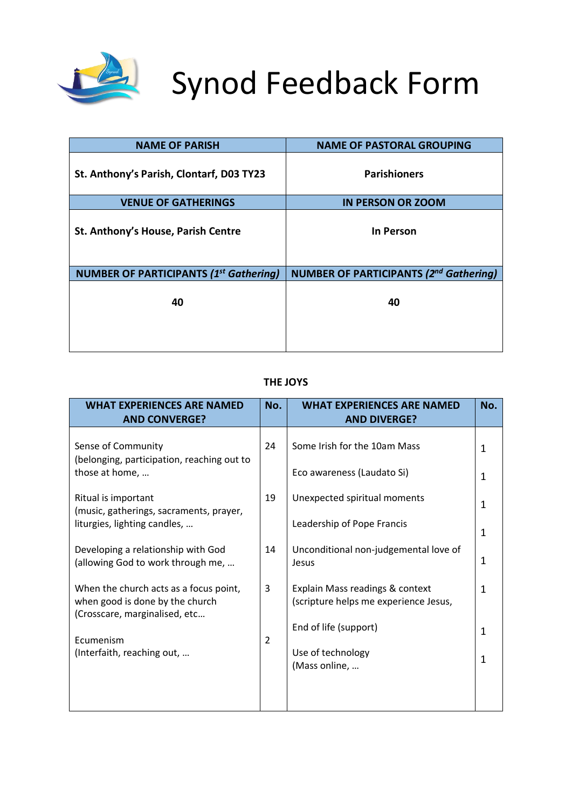

# Synod Feedback Form

| <b>NAME OF PARISH</b>                         | <b>NAME OF PASTORAL GROUPING</b>              |
|-----------------------------------------------|-----------------------------------------------|
| St. Anthony's Parish, Clontarf, D03 TY23      | <b>Parishioners</b>                           |
| <b>VENUE OF GATHERINGS</b>                    | <b>IN PERSON OR ZOOM</b>                      |
| St. Anthony's House, Parish Centre            | In Person                                     |
| <b>NUMBER OF PARTICIPANTS (1st Gathering)</b> | <b>NUMBER OF PARTICIPANTS (2nd Gathering)</b> |
| 40                                            | 40                                            |

## **THE JOYS**

| <b>WHAT EXPERIENCES ARE NAMED</b><br><b>AND CONVERGE?</b>                                                  | No.            | <b>WHAT EXPERIENCES ARE NAMED</b><br><b>AND DIVERGE?</b>                                          | No.    |
|------------------------------------------------------------------------------------------------------------|----------------|---------------------------------------------------------------------------------------------------|--------|
| Sense of Community<br>(belonging, participation, reaching out to<br>those at home,                         | 24             | Some Irish for the 10am Mass<br>Eco awareness (Laudato Si)                                        | 1<br>1 |
| Ritual is important<br>(music, gatherings, sacraments, prayer,<br>liturgies, lighting candles,             | 19             | Unexpected spiritual moments<br>Leadership of Pope Francis                                        | 1<br>1 |
| Developing a relationship with God<br>(allowing God to work through me,                                    | 14             | Unconditional non-judgemental love of<br>Jesus                                                    | 1      |
| When the church acts as a focus point,<br>when good is done by the church<br>(Crosscare, marginalised, etc | 3              | Explain Mass readings & context<br>(scripture helps me experience Jesus,<br>End of life (support) | 1      |
| Ecumenism<br>(Interfaith, reaching out,                                                                    | $\overline{2}$ | Use of technology<br>(Mass online,                                                                | 1<br>1 |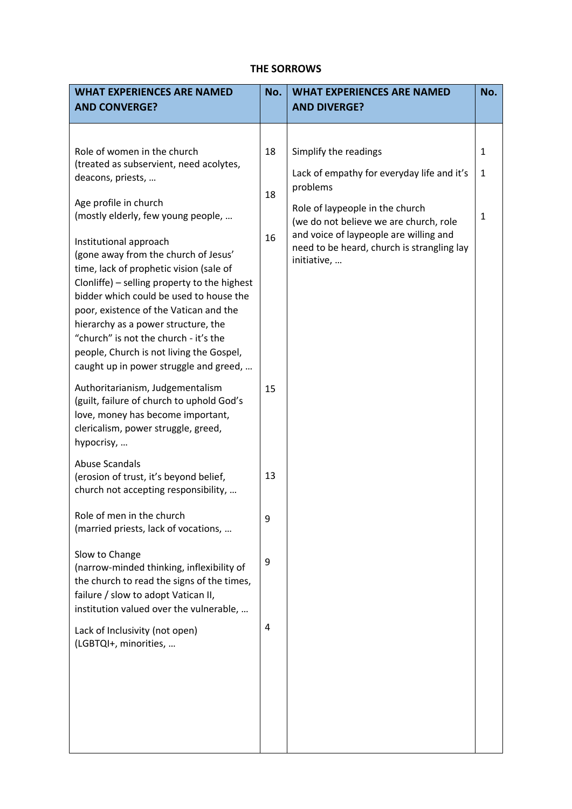#### **THE SORROWS**

| <b>WHAT EXPERIENCES ARE NAMED</b><br><b>AND CONVERGE?</b>                                                                                                                                                                                                                                                                                                                                                            | No.                                                                                                                                                                                                                      | <b>WHAT EXPERIENCES ARE NAMED</b><br><b>AND DIVERGE?</b>  | No. |
|----------------------------------------------------------------------------------------------------------------------------------------------------------------------------------------------------------------------------------------------------------------------------------------------------------------------------------------------------------------------------------------------------------------------|--------------------------------------------------------------------------------------------------------------------------------------------------------------------------------------------------------------------------|-----------------------------------------------------------|-----|
| Role of women in the church<br>(treated as subservient, need acolytes,<br>deacons, priests,<br>Age profile in church<br>(mostly elderly, few young people,                                                                                                                                                                                                                                                           | 18<br>Simplify the readings<br>Lack of empathy for everyday life and it's<br>problems<br>18<br>Role of laypeople in the church<br>(we do not believe we are church, role<br>and voice of laypeople are willing and<br>16 | $\mathbf{1}$<br>$\mathbf{1}$<br>1                         |     |
| Institutional approach<br>(gone away from the church of Jesus'<br>time, lack of prophetic vision (sale of<br>Clonliffe) - selling property to the highest<br>bidder which could be used to house the<br>poor, existence of the Vatican and the<br>hierarchy as a power structure, the<br>"church" is not the church - it's the<br>people, Church is not living the Gospel,<br>caught up in power struggle and greed, |                                                                                                                                                                                                                          | need to be heard, church is strangling lay<br>initiative, |     |
| Authoritarianism, Judgementalism<br>(guilt, failure of church to uphold God's<br>love, money has become important,<br>clericalism, power struggle, greed,<br>hypocrisy,                                                                                                                                                                                                                                              | 15                                                                                                                                                                                                                       |                                                           |     |
| <b>Abuse Scandals</b><br>(erosion of trust, it's beyond belief,<br>church not accepting responsibility,                                                                                                                                                                                                                                                                                                              | 13                                                                                                                                                                                                                       |                                                           |     |
| Role of men in the church<br>(married priests, lack of vocations,                                                                                                                                                                                                                                                                                                                                                    | 9                                                                                                                                                                                                                        |                                                           |     |
| Slow to Change<br>(narrow-minded thinking, inflexibility of<br>the church to read the signs of the times,<br>failure / slow to adopt Vatican II,<br>institution valued over the vulnerable,                                                                                                                                                                                                                          | 9                                                                                                                                                                                                                        |                                                           |     |
| Lack of Inclusivity (not open)<br>(LGBTQI+, minorities,                                                                                                                                                                                                                                                                                                                                                              | $\pmb{4}$                                                                                                                                                                                                                |                                                           |     |
|                                                                                                                                                                                                                                                                                                                                                                                                                      |                                                                                                                                                                                                                          |                                                           |     |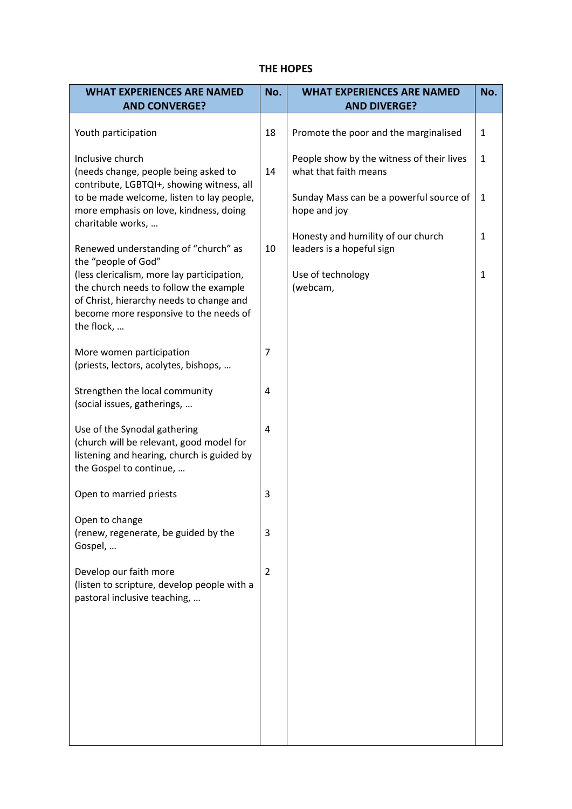#### **THE HOPES**

| <b>WHAT EXPERIENCES ARE NAMED</b>                                                                                                                                                        | No.            | <b>WHAT EXPERIENCES ARE NAMED</b>                                  | No.          |
|------------------------------------------------------------------------------------------------------------------------------------------------------------------------------------------|----------------|--------------------------------------------------------------------|--------------|
| <b>AND CONVERGE?</b>                                                                                                                                                                     |                | <b>AND DIVERGE?</b>                                                |              |
| Youth participation                                                                                                                                                                      | 18             | Promote the poor and the marginalised                              | 1            |
| Inclusive church<br>(needs change, people being asked to                                                                                                                                 | 14             | People show by the witness of their lives<br>what that faith means | $\mathbf{1}$ |
| contribute, LGBTQI+, showing witness, all<br>to be made welcome, listen to lay people,<br>more emphasis on love, kindness, doing<br>charitable works,                                    |                | Sunday Mass can be a powerful source of<br>hope and joy            | $\mathbf{1}$ |
| Renewed understanding of "church" as<br>the "people of God"                                                                                                                              | 10             | Honesty and humility of our church<br>leaders is a hopeful sign    | $\mathbf{1}$ |
| (less clericalism, more lay participation,<br>the church needs to follow the example<br>of Christ, hierarchy needs to change and<br>become more responsive to the needs of<br>the flock, |                | Use of technology<br>(webcam,                                      | $\mathbf{1}$ |
| More women participation<br>(priests, lectors, acolytes, bishops,                                                                                                                        | 7              |                                                                    |              |
| Strengthen the local community<br>(social issues, gatherings,                                                                                                                            | 4              |                                                                    |              |
| Use of the Synodal gathering<br>(church will be relevant, good model for<br>listening and hearing, church is guided by<br>the Gospel to continue,                                        | $\overline{a}$ |                                                                    |              |
| Open to married priests                                                                                                                                                                  | 3              |                                                                    |              |
| Open to change<br>(renew, regenerate, be guided by the<br>Gospel,                                                                                                                        | 3              |                                                                    |              |
| Develop our faith more<br>(listen to scripture, develop people with a<br>pastoral inclusive teaching,                                                                                    | $\overline{2}$ |                                                                    |              |
|                                                                                                                                                                                          |                |                                                                    |              |
|                                                                                                                                                                                          |                |                                                                    |              |
|                                                                                                                                                                                          |                |                                                                    |              |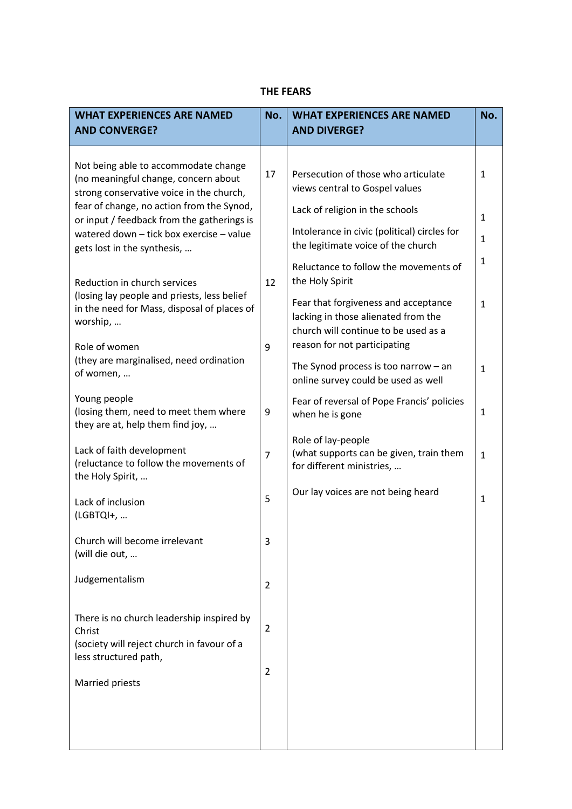## **THE FEARS**

| <b>WHAT EXPERIENCES ARE NAMED</b><br><b>AND CONVERGE?</b>                                                                                                          | No.            | <b>WHAT EXPERIENCES ARE NAMED</b><br><b>AND DIVERGE?</b>                                                              | No.                          |
|--------------------------------------------------------------------------------------------------------------------------------------------------------------------|----------------|-----------------------------------------------------------------------------------------------------------------------|------------------------------|
| Not being able to accommodate change<br>(no meaningful change, concern about<br>strong conservative voice in the church,                                           | 17             | Persecution of those who articulate<br>views central to Gospel values                                                 | 1                            |
| fear of change, no action from the Synod,<br>or input / feedback from the gatherings is<br>watered down - tick box exercise - value<br>gets lost in the synthesis, |                | Lack of religion in the schools<br>Intolerance in civic (political) circles for<br>the legitimate voice of the church | $\mathbf{1}$<br>$\mathbf{1}$ |
| Reduction in church services<br>(losing lay people and priests, less belief                                                                                        | 12             | Reluctance to follow the movements of<br>the Holy Spirit<br>Fear that forgiveness and acceptance                      | 1<br>$\mathbf{1}$            |
| in the need for Mass, disposal of places of<br>worship,<br>Role of women                                                                                           | 9              | lacking in those alienated from the<br>church will continue to be used as a<br>reason for not participating           |                              |
| (they are marginalised, need ordination<br>of women,                                                                                                               |                | The Synod process is too narrow $-$ an<br>online survey could be used as well                                         | $\mathbf{1}$                 |
| Young people<br>(losing them, need to meet them where<br>they are at, help them find joy,                                                                          | 9              | Fear of reversal of Pope Francis' policies<br>when he is gone                                                         | 1                            |
| Lack of faith development<br>(reluctance to follow the movements of<br>the Holy Spirit,                                                                            | $\overline{7}$ | Role of lay-people<br>(what supports can be given, train them<br>for different ministries,                            | $\mathbf{1}$                 |
| Lack of inclusion<br>(LGBTQI+,                                                                                                                                     | 5              | Our lay voices are not being heard                                                                                    | $\mathbf{1}$                 |
| Church will become irrelevant<br>(will die out,                                                                                                                    | 3              |                                                                                                                       |                              |
| Judgementalism                                                                                                                                                     | $\overline{2}$ |                                                                                                                       |                              |
| There is no church leadership inspired by<br>Christ<br>(society will reject church in favour of a<br>less structured path,                                         | $\overline{2}$ |                                                                                                                       |                              |
| Married priests                                                                                                                                                    | $\overline{2}$ |                                                                                                                       |                              |
|                                                                                                                                                                    |                |                                                                                                                       |                              |